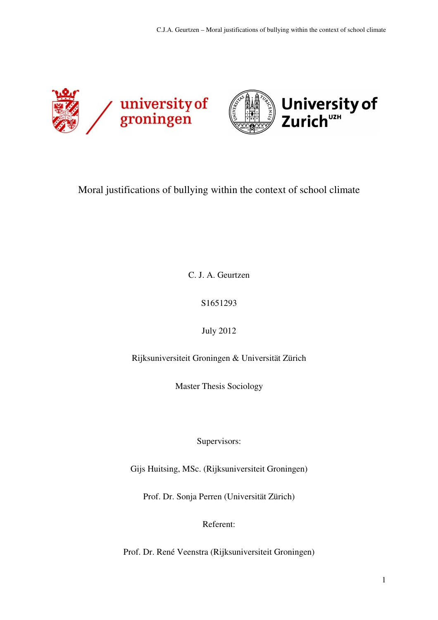



# Moral justifications of bullying within the context of school climate

C. J. A. Geurtzen

S1651293

July 2012

Rijksuniversiteit Groningen & Universität Zürich

Master Thesis Sociology

Supervisors:

Gijs Huitsing, MSc. (Rijksuniversiteit Groningen)

Prof. Dr. Sonja Perren (Universität Zürich)

Referent:

Prof. Dr. René Veenstra (Rijksuniversiteit Groningen)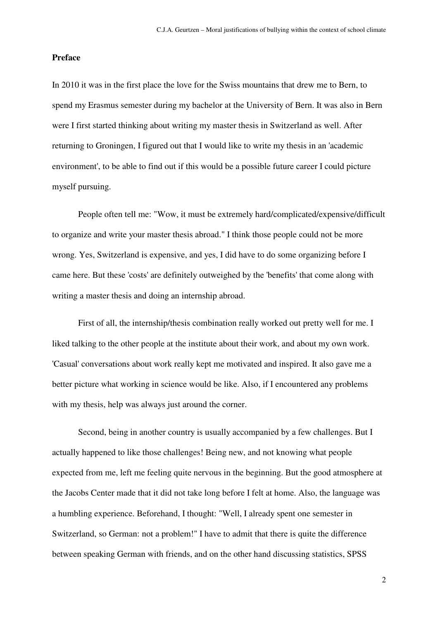### **Preface**

In 2010 it was in the first place the love for the Swiss mountains that drew me to Bern, to spend my Erasmus semester during my bachelor at the University of Bern. It was also in Bern were I first started thinking about writing my master thesis in Switzerland as well. After returning to Groningen, I figured out that I would like to write my thesis in an 'academic environment', to be able to find out if this would be a possible future career I could picture myself pursuing.

 People often tell me: "Wow, it must be extremely hard/complicated/expensive/difficult to organize and write your master thesis abroad." I think those people could not be more wrong. Yes, Switzerland is expensive, and yes, I did have to do some organizing before I came here. But these 'costs' are definitely outweighed by the 'benefits' that come along with writing a master thesis and doing an internship abroad.

 First of all, the internship/thesis combination really worked out pretty well for me. I liked talking to the other people at the institute about their work, and about my own work. 'Casual' conversations about work really kept me motivated and inspired. It also gave me a better picture what working in science would be like. Also, if I encountered any problems with my thesis, help was always just around the corner.

 Second, being in another country is usually accompanied by a few challenges. But I actually happened to like those challenges! Being new, and not knowing what people expected from me, left me feeling quite nervous in the beginning. But the good atmosphere at the Jacobs Center made that it did not take long before I felt at home. Also, the language was a humbling experience. Beforehand, I thought: "Well, I already spent one semester in Switzerland, so German: not a problem!" I have to admit that there is quite the difference between speaking German with friends, and on the other hand discussing statistics, SPSS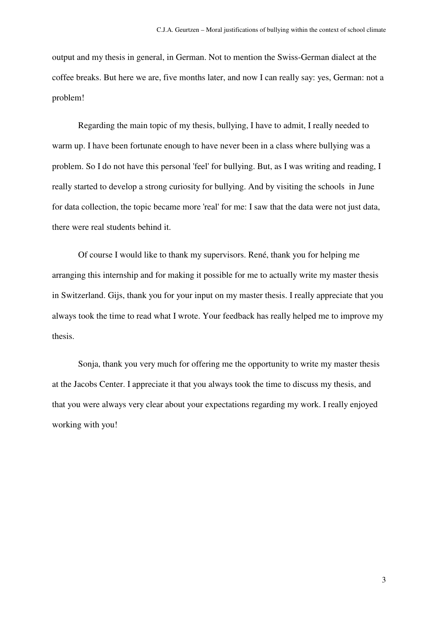output and my thesis in general, in German. Not to mention the Swiss-German dialect at the coffee breaks. But here we are, five months later, and now I can really say: yes, German: not a problem!

 Regarding the main topic of my thesis, bullying, I have to admit, I really needed to warm up. I have been fortunate enough to have never been in a class where bullying was a problem. So I do not have this personal 'feel' for bullying. But, as I was writing and reading, I really started to develop a strong curiosity for bullying. And by visiting the schools in June for data collection, the topic became more 'real' for me: I saw that the data were not just data, there were real students behind it.

 Of course I would like to thank my supervisors. René, thank you for helping me arranging this internship and for making it possible for me to actually write my master thesis in Switzerland. Gijs, thank you for your input on my master thesis. I really appreciate that you always took the time to read what I wrote. Your feedback has really helped me to improve my thesis.

 Sonja, thank you very much for offering me the opportunity to write my master thesis at the Jacobs Center. I appreciate it that you always took the time to discuss my thesis, and that you were always very clear about your expectations regarding my work. I really enjoyed working with you!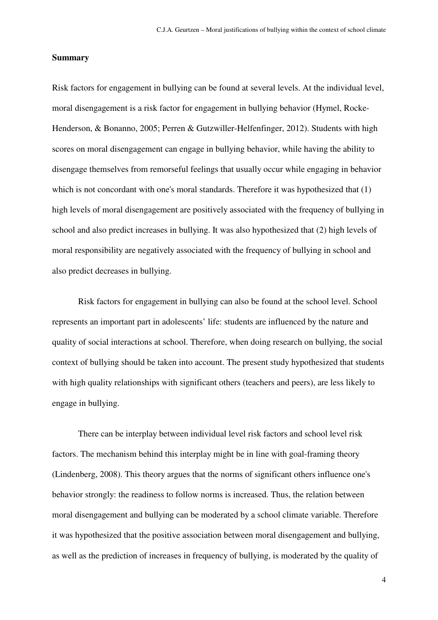### **Summary**

Risk factors for engagement in bullying can be found at several levels. At the individual level, moral disengagement is a risk factor for engagement in bullying behavior (Hymel, Rocke-Henderson, & Bonanno, 2005; Perren & Gutzwiller-Helfenfinger, 2012). Students with high scores on moral disengagement can engage in bullying behavior, while having the ability to disengage themselves from remorseful feelings that usually occur while engaging in behavior which is not concordant with one's moral standards. Therefore it was hypothesized that (1) high levels of moral disengagement are positively associated with the frequency of bullying in school and also predict increases in bullying. It was also hypothesized that (2) high levels of moral responsibility are negatively associated with the frequency of bullying in school and also predict decreases in bullying.

Risk factors for engagement in bullying can also be found at the school level. School represents an important part in adolescents' life: students are influenced by the nature and quality of social interactions at school. Therefore, when doing research on bullying, the social context of bullying should be taken into account. The present study hypothesized that students with high quality relationships with significant others (teachers and peers), are less likely to engage in bullying.

There can be interplay between individual level risk factors and school level risk factors. The mechanism behind this interplay might be in line with goal-framing theory (Lindenberg, 2008). This theory argues that the norms of significant others influence one's behavior strongly: the readiness to follow norms is increased. Thus, the relation between moral disengagement and bullying can be moderated by a school climate variable. Therefore it was hypothesized that the positive association between moral disengagement and bullying, as well as the prediction of increases in frequency of bullying, is moderated by the quality of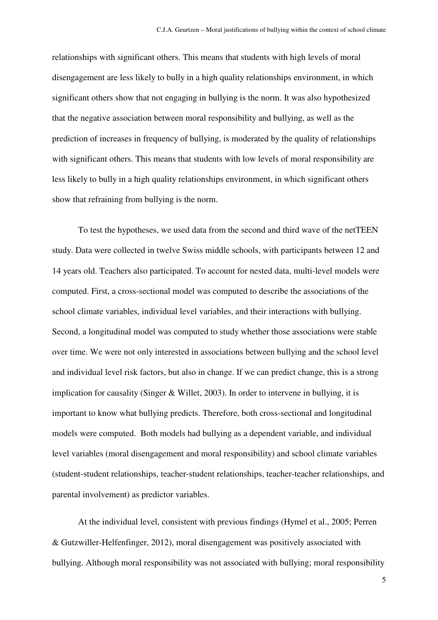relationships with significant others. This means that students with high levels of moral disengagement are less likely to bully in a high quality relationships environment, in which significant others show that not engaging in bullying is the norm. It was also hypothesized that the negative association between moral responsibility and bullying, as well as the prediction of increases in frequency of bullying, is moderated by the quality of relationships with significant others. This means that students with low levels of moral responsibility are less likely to bully in a high quality relationships environment, in which significant others show that refraining from bullying is the norm.

 To test the hypotheses, we used data from the second and third wave of the netTEEN study. Data were collected in twelve Swiss middle schools, with participants between 12 and 14 years old. Teachers also participated. To account for nested data, multi-level models were computed. First, a cross-sectional model was computed to describe the associations of the school climate variables, individual level variables, and their interactions with bullying. Second, a longitudinal model was computed to study whether those associations were stable over time. We were not only interested in associations between bullying and the school level and individual level risk factors, but also in change. If we can predict change, this is a strong implication for causality (Singer & Willet, 2003). In order to intervene in bullying, it is important to know what bullying predicts. Therefore, both cross-sectional and longitudinal models were computed. Both models had bullying as a dependent variable, and individual level variables (moral disengagement and moral responsibility) and school climate variables (student-student relationships, teacher-student relationships, teacher-teacher relationships, and parental involvement) as predictor variables.

At the individual level, consistent with previous findings (Hymel et al., 2005; Perren & Gutzwiller-Helfenfinger, 2012), moral disengagement was positively associated with bullying. Although moral responsibility was not associated with bullying; moral responsibility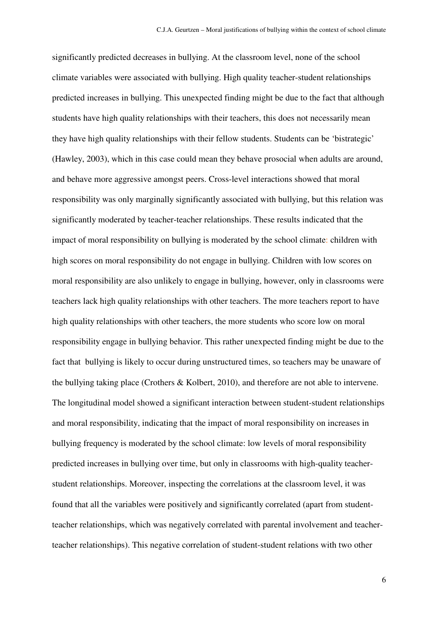significantly predicted decreases in bullying. At the classroom level, none of the school climate variables were associated with bullying. High quality teacher-student relationships predicted increases in bullying. This unexpected finding might be due to the fact that although students have high quality relationships with their teachers, this does not necessarily mean they have high quality relationships with their fellow students. Students can be 'bistrategic' (Hawley, 2003), which in this case could mean they behave prosocial when adults are around, and behave more aggressive amongst peers. Cross-level interactions showed that moral responsibility was only marginally significantly associated with bullying, but this relation was significantly moderated by teacher-teacher relationships. These results indicated that the impact of moral responsibility on bullying is moderated by the school climate: children with high scores on moral responsibility do not engage in bullying. Children with low scores on moral responsibility are also unlikely to engage in bullying, however, only in classrooms were teachers lack high quality relationships with other teachers. The more teachers report to have high quality relationships with other teachers, the more students who score low on moral responsibility engage in bullying behavior. This rather unexpected finding might be due to the fact that bullying is likely to occur during unstructured times, so teachers may be unaware of the bullying taking place (Crothers & Kolbert, 2010), and therefore are not able to intervene. The longitudinal model showed a significant interaction between student-student relationships and moral responsibility, indicating that the impact of moral responsibility on increases in bullying frequency is moderated by the school climate: low levels of moral responsibility predicted increases in bullying over time, but only in classrooms with high-quality teacherstudent relationships. Moreover, inspecting the correlations at the classroom level, it was found that all the variables were positively and significantly correlated (apart from studentteacher relationships, which was negatively correlated with parental involvement and teacherteacher relationships). This negative correlation of student-student relations with two other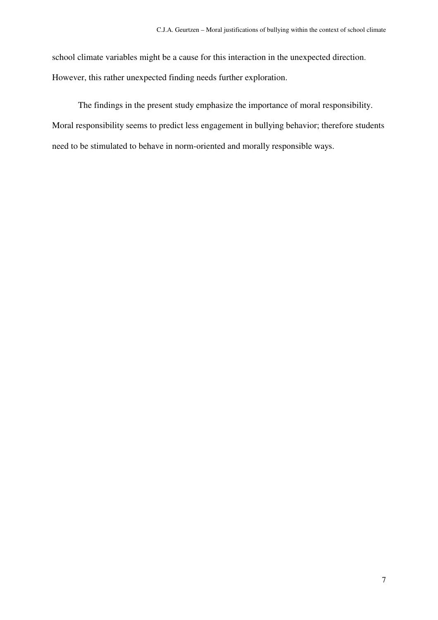school climate variables might be a cause for this interaction in the unexpected direction. However, this rather unexpected finding needs further exploration.

The findings in the present study emphasize the importance of moral responsibility. Moral responsibility seems to predict less engagement in bullying behavior; therefore students need to be stimulated to behave in norm-oriented and morally responsible ways.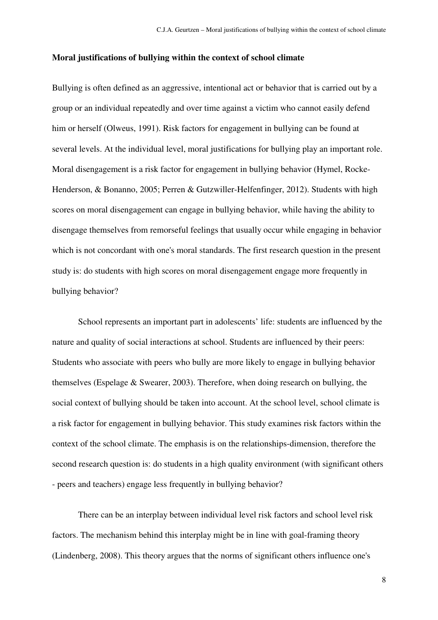### **Moral justifications of bullying within the context of school climate**

Bullying is often defined as an aggressive, intentional act or behavior that is carried out by a group or an individual repeatedly and over time against a victim who cannot easily defend him or herself (Olweus, 1991). Risk factors for engagement in bullying can be found at several levels. At the individual level, moral justifications for bullying play an important role. Moral disengagement is a risk factor for engagement in bullying behavior (Hymel, Rocke-Henderson, & Bonanno, 2005; Perren & Gutzwiller-Helfenfinger, 2012). Students with high scores on moral disengagement can engage in bullying behavior, while having the ability to disengage themselves from remorseful feelings that usually occur while engaging in behavior which is not concordant with one's moral standards. The first research question in the present study is: do students with high scores on moral disengagement engage more frequently in bullying behavior?

 School represents an important part in adolescents' life: students are influenced by the nature and quality of social interactions at school. Students are influenced by their peers: Students who associate with peers who bully are more likely to engage in bullying behavior themselves (Espelage & Swearer, 2003). Therefore, when doing research on bullying, the social context of bullying should be taken into account. At the school level, school climate is a risk factor for engagement in bullying behavior. This study examines risk factors within the context of the school climate. The emphasis is on the relationships-dimension, therefore the second research question is: do students in a high quality environment (with significant others - peers and teachers) engage less frequently in bullying behavior?

There can be an interplay between individual level risk factors and school level risk factors. The mechanism behind this interplay might be in line with goal-framing theory (Lindenberg, 2008). This theory argues that the norms of significant others influence one's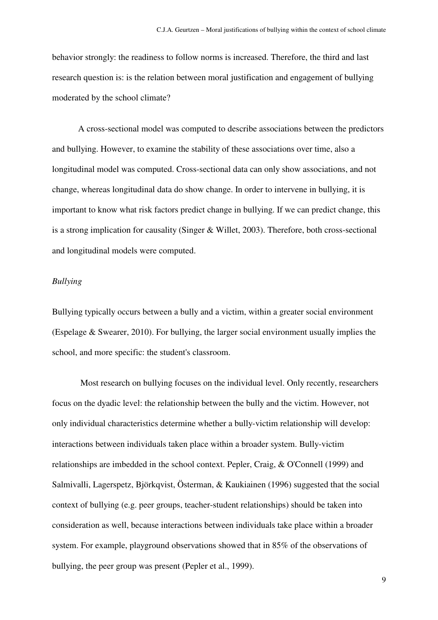behavior strongly: the readiness to follow norms is increased. Therefore, the third and last research question is: is the relation between moral justification and engagement of bullying moderated by the school climate?

 A cross-sectional model was computed to describe associations between the predictors and bullying. However, to examine the stability of these associations over time, also a longitudinal model was computed. Cross-sectional data can only show associations, and not change, whereas longitudinal data do show change. In order to intervene in bullying, it is important to know what risk factors predict change in bullying. If we can predict change, this is a strong implication for causality (Singer & Willet, 2003). Therefore, both cross-sectional and longitudinal models were computed.

### *Bullying*

Bullying typically occurs between a bully and a victim, within a greater social environment (Espelage & Swearer, 2010). For bullying, the larger social environment usually implies the school, and more specific: the student's classroom.

 Most research on bullying focuses on the individual level. Only recently, researchers focus on the dyadic level: the relationship between the bully and the victim. However, not only individual characteristics determine whether a bully-victim relationship will develop: interactions between individuals taken place within a broader system. Bully-victim relationships are imbedded in the school context. Pepler, Craig, & O'Connell (1999) and Salmivalli, Lagerspetz, Björkqvist, Österman, & Kaukiainen (1996) suggested that the social context of bullying (e.g. peer groups, teacher-student relationships) should be taken into consideration as well, because interactions between individuals take place within a broader system. For example, playground observations showed that in 85% of the observations of bullying, the peer group was present (Pepler et al., 1999).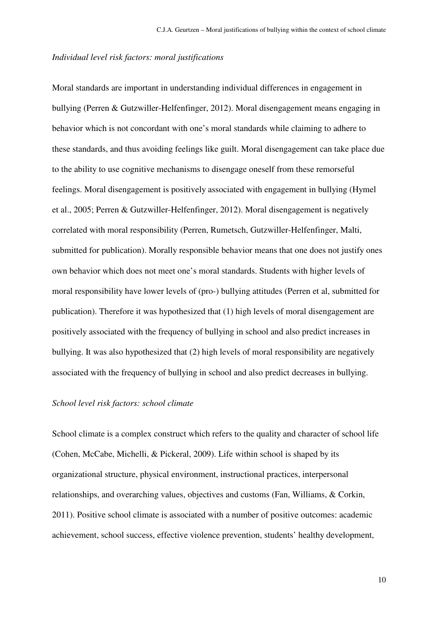### *Individual level risk factors: moral justifications*

Moral standards are important in understanding individual differences in engagement in bullying (Perren & Gutzwiller-Helfenfinger, 2012). Moral disengagement means engaging in behavior which is not concordant with one's moral standards while claiming to adhere to these standards, and thus avoiding feelings like guilt. Moral disengagement can take place due to the ability to use cognitive mechanisms to disengage oneself from these remorseful feelings. Moral disengagement is positively associated with engagement in bullying (Hymel et al., 2005; Perren & Gutzwiller-Helfenfinger, 2012). Moral disengagement is negatively correlated with moral responsibility (Perren, Rumetsch, Gutzwiller-Helfenfinger, Malti, submitted for publication). Morally responsible behavior means that one does not justify ones own behavior which does not meet one's moral standards. Students with higher levels of moral responsibility have lower levels of (pro-) bullying attitudes (Perren et al, submitted for publication). Therefore it was hypothesized that (1) high levels of moral disengagement are positively associated with the frequency of bullying in school and also predict increases in bullying. It was also hypothesized that (2) high levels of moral responsibility are negatively associated with the frequency of bullying in school and also predict decreases in bullying.

### *School level risk factors: school climate*

School climate is a complex construct which refers to the quality and character of school life (Cohen, McCabe, Michelli, & Pickeral, 2009). Life within school is shaped by its organizational structure, physical environment, instructional practices, interpersonal relationships, and overarching values, objectives and customs (Fan, Williams, & Corkin, 2011). Positive school climate is associated with a number of positive outcomes: academic achievement, school success, effective violence prevention, students' healthy development,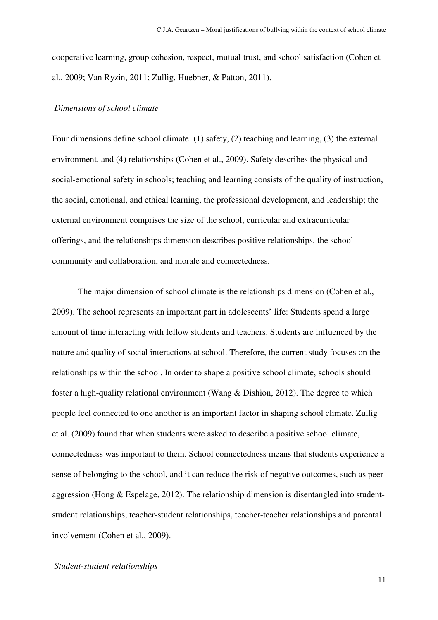cooperative learning, group cohesion, respect, mutual trust, and school satisfaction (Cohen et al., 2009; Van Ryzin, 2011; Zullig, Huebner, & Patton, 2011).

### *Dimensions of school climate*

Four dimensions define school climate: (1) safety, (2) teaching and learning, (3) the external environment, and (4) relationships (Cohen et al., 2009). Safety describes the physical and social-emotional safety in schools; teaching and learning consists of the quality of instruction, the social, emotional, and ethical learning, the professional development, and leadership; the external environment comprises the size of the school, curricular and extracurricular offerings, and the relationships dimension describes positive relationships, the school community and collaboration, and morale and connectedness.

 The major dimension of school climate is the relationships dimension (Cohen et al., 2009). The school represents an important part in adolescents' life: Students spend a large amount of time interacting with fellow students and teachers. Students are influenced by the nature and quality of social interactions at school. Therefore, the current study focuses on the relationships within the school. In order to shape a positive school climate, schools should foster a high-quality relational environment (Wang & Dishion, 2012). The degree to which people feel connected to one another is an important factor in shaping school climate. Zullig et al. (2009) found that when students were asked to describe a positive school climate, connectedness was important to them. School connectedness means that students experience a sense of belonging to the school, and it can reduce the risk of negative outcomes, such as peer aggression (Hong & Espelage, 2012). The relationship dimension is disentangled into studentstudent relationships, teacher-student relationships, teacher-teacher relationships and parental involvement (Cohen et al., 2009).

#### *Student-student relationships*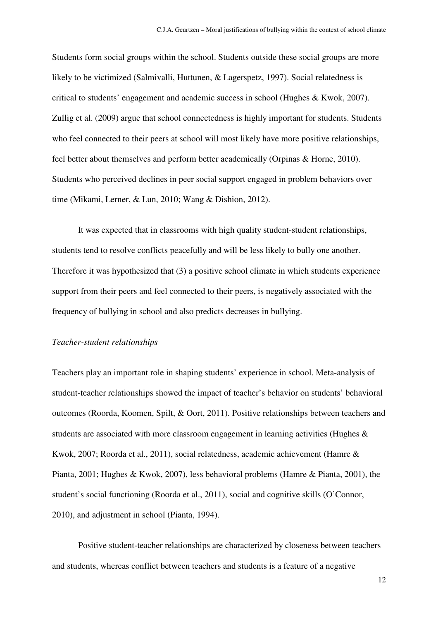Students form social groups within the school. Students outside these social groups are more likely to be victimized (Salmivalli, Huttunen, & Lagerspetz, 1997). Social relatedness is critical to students' engagement and academic success in school (Hughes & Kwok, 2007). Zullig et al. (2009) argue that school connectedness is highly important for students. Students who feel connected to their peers at school will most likely have more positive relationships, feel better about themselves and perform better academically (Orpinas & Horne, 2010). Students who perceived declines in peer social support engaged in problem behaviors over time (Mikami, Lerner, & Lun, 2010; Wang & Dishion, 2012).

 It was expected that in classrooms with high quality student-student relationships, students tend to resolve conflicts peacefully and will be less likely to bully one another. Therefore it was hypothesized that (3) a positive school climate in which students experience support from their peers and feel connected to their peers, is negatively associated with the frequency of bullying in school and also predicts decreases in bullying.

# *Teacher-student relationships*

Teachers play an important role in shaping students' experience in school. Meta-analysis of student-teacher relationships showed the impact of teacher's behavior on students' behavioral outcomes (Roorda, Koomen, Spilt, & Oort, 2011). Positive relationships between teachers and students are associated with more classroom engagement in learning activities (Hughes & Kwok, 2007; Roorda et al., 2011), social relatedness, academic achievement (Hamre & Pianta, 2001; Hughes & Kwok, 2007), less behavioral problems (Hamre & Pianta, 2001), the student's social functioning (Roorda et al., 2011), social and cognitive skills (O'Connor, 2010), and adjustment in school (Pianta, 1994).

Positive student-teacher relationships are characterized by closeness between teachers and students, whereas conflict between teachers and students is a feature of a negative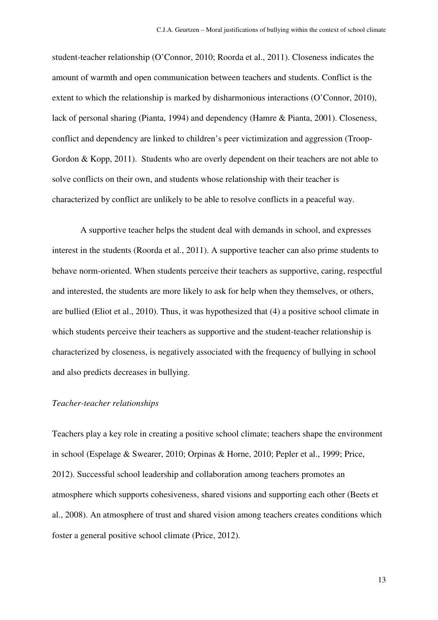student-teacher relationship (O'Connor, 2010; Roorda et al., 2011). Closeness indicates the amount of warmth and open communication between teachers and students. Conflict is the extent to which the relationship is marked by disharmonious interactions (O'Connor, 2010), lack of personal sharing (Pianta, 1994) and dependency (Hamre & Pianta, 2001). Closeness, conflict and dependency are linked to children's peer victimization and aggression (Troop-Gordon & Kopp, 2011). Students who are overly dependent on their teachers are not able to solve conflicts on their own, and students whose relationship with their teacher is characterized by conflict are unlikely to be able to resolve conflicts in a peaceful way.

 A supportive teacher helps the student deal with demands in school, and expresses interest in the students (Roorda et al., 2011). A supportive teacher can also prime students to behave norm-oriented. When students perceive their teachers as supportive, caring, respectful and interested, the students are more likely to ask for help when they themselves, or others, are bullied (Eliot et al., 2010). Thus, it was hypothesized that (4) a positive school climate in which students perceive their teachers as supportive and the student-teacher relationship is characterized by closeness, is negatively associated with the frequency of bullying in school and also predicts decreases in bullying.

#### *Teacher-teacher relationships*

Teachers play a key role in creating a positive school climate; teachers shape the environment in school (Espelage & Swearer, 2010; Orpinas & Horne, 2010; Pepler et al., 1999; Price, 2012). Successful school leadership and collaboration among teachers promotes an atmosphere which supports cohesiveness, shared visions and supporting each other (Beets et al., 2008). An atmosphere of trust and shared vision among teachers creates conditions which foster a general positive school climate (Price, 2012).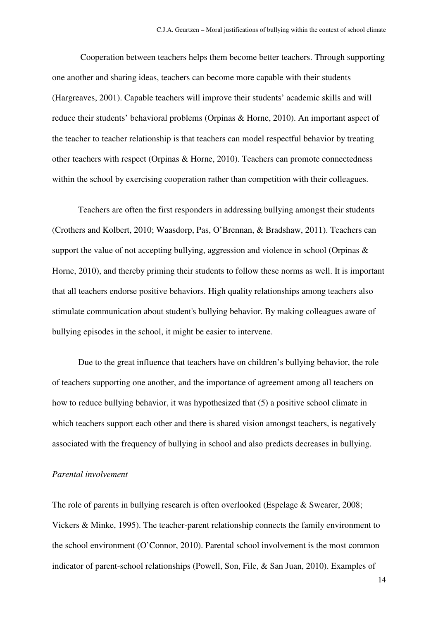Cooperation between teachers helps them become better teachers. Through supporting one another and sharing ideas, teachers can become more capable with their students (Hargreaves, 2001). Capable teachers will improve their students' academic skills and will reduce their students' behavioral problems (Orpinas & Horne, 2010). An important aspect of the teacher to teacher relationship is that teachers can model respectful behavior by treating other teachers with respect (Orpinas & Horne, 2010). Teachers can promote connectedness within the school by exercising cooperation rather than competition with their colleagues.

Teachers are often the first responders in addressing bullying amongst their students (Crothers and Kolbert, 2010; Waasdorp, Pas, O'Brennan, & Bradshaw, 2011). Teachers can support the value of not accepting bullying, aggression and violence in school (Orpinas  $\&$ Horne, 2010), and thereby priming their students to follow these norms as well. It is important that all teachers endorse positive behaviors. High quality relationships among teachers also stimulate communication about student's bullying behavior. By making colleagues aware of bullying episodes in the school, it might be easier to intervene.

Due to the great influence that teachers have on children's bullying behavior, the role of teachers supporting one another, and the importance of agreement among all teachers on how to reduce bullying behavior, it was hypothesized that (5) a positive school climate in which teachers support each other and there is shared vision amongst teachers, is negatively associated with the frequency of bullying in school and also predicts decreases in bullying.

# *Parental involvement*

The role of parents in bullying research is often overlooked (Espelage & Swearer, 2008; Vickers & Minke, 1995). The teacher-parent relationship connects the family environment to the school environment (O'Connor, 2010). Parental school involvement is the most common indicator of parent-school relationships (Powell, Son, File, & San Juan, 2010). Examples of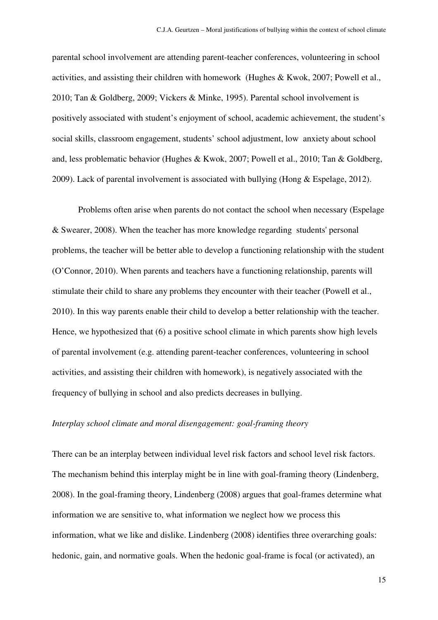parental school involvement are attending parent-teacher conferences, volunteering in school activities, and assisting their children with homework (Hughes & Kwok, 2007; Powell et al., 2010; Tan & Goldberg, 2009; Vickers & Minke, 1995). Parental school involvement is positively associated with student's enjoyment of school, academic achievement, the student's social skills, classroom engagement, students' school adjustment, low anxiety about school and, less problematic behavior (Hughes & Kwok, 2007; Powell et al., 2010; Tan & Goldberg, 2009). Lack of parental involvement is associated with bullying (Hong & Espelage, 2012).

Problems often arise when parents do not contact the school when necessary (Espelage & Swearer, 2008). When the teacher has more knowledge regarding students' personal problems, the teacher will be better able to develop a functioning relationship with the student (O'Connor, 2010). When parents and teachers have a functioning relationship, parents will stimulate their child to share any problems they encounter with their teacher (Powell et al., 2010). In this way parents enable their child to develop a better relationship with the teacher. Hence, we hypothesized that (6) a positive school climate in which parents show high levels of parental involvement (e.g. attending parent-teacher conferences, volunteering in school activities, and assisting their children with homework), is negatively associated with the frequency of bullying in school and also predicts decreases in bullying.

# *Interplay school climate and moral disengagement: goal-framing theory*

There can be an interplay between individual level risk factors and school level risk factors. The mechanism behind this interplay might be in line with goal-framing theory (Lindenberg, 2008). In the goal-framing theory, Lindenberg (2008) argues that goal-frames determine what information we are sensitive to, what information we neglect how we process this information, what we like and dislike. Lindenberg (2008) identifies three overarching goals: hedonic, gain, and normative goals. When the hedonic goal-frame is focal (or activated), an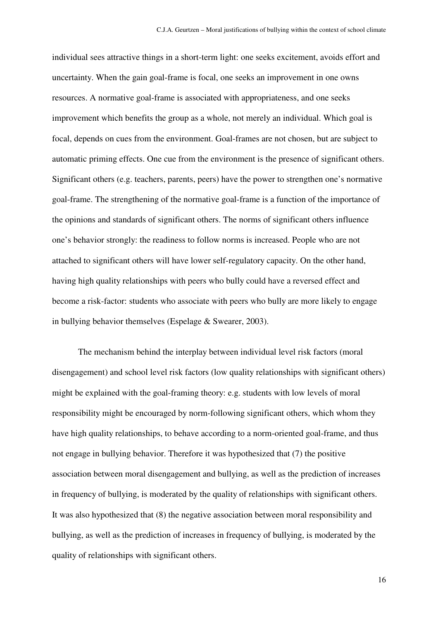individual sees attractive things in a short-term light: one seeks excitement, avoids effort and uncertainty. When the gain goal-frame is focal, one seeks an improvement in one owns resources. A normative goal-frame is associated with appropriateness, and one seeks improvement which benefits the group as a whole, not merely an individual. Which goal is focal, depends on cues from the environment. Goal-frames are not chosen, but are subject to automatic priming effects. One cue from the environment is the presence of significant others. Significant others (e.g. teachers, parents, peers) have the power to strengthen one's normative goal-frame. The strengthening of the normative goal-frame is a function of the importance of the opinions and standards of significant others. The norms of significant others influence one's behavior strongly: the readiness to follow norms is increased. People who are not attached to significant others will have lower self-regulatory capacity. On the other hand, having high quality relationships with peers who bully could have a reversed effect and become a risk-factor: students who associate with peers who bully are more likely to engage in bullying behavior themselves (Espelage & Swearer, 2003).

 The mechanism behind the interplay between individual level risk factors (moral disengagement) and school level risk factors (low quality relationships with significant others) might be explained with the goal-framing theory: e.g. students with low levels of moral responsibility might be encouraged by norm-following significant others, which whom they have high quality relationships, to behave according to a norm-oriented goal-frame, and thus not engage in bullying behavior. Therefore it was hypothesized that (7) the positive association between moral disengagement and bullying, as well as the prediction of increases in frequency of bullying, is moderated by the quality of relationships with significant others. It was also hypothesized that (8) the negative association between moral responsibility and bullying, as well as the prediction of increases in frequency of bullying, is moderated by the quality of relationships with significant others.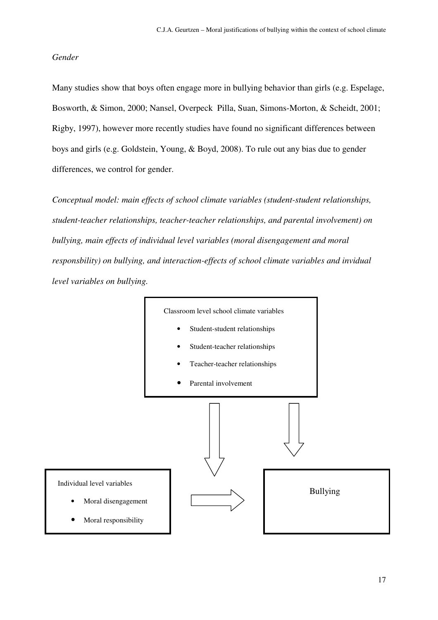### *Gender*

Many studies show that boys often engage more in bullying behavior than girls (e.g. Espelage, Bosworth, & Simon, 2000; Nansel, Overpeck Pilla, Suan, Simons-Morton, & Scheidt, 2001; Rigby, 1997), however more recently studies have found no significant differences between boys and girls (e.g. Goldstein, Young, & Boyd, 2008). To rule out any bias due to gender differences, we control for gender.

*Conceptual model: main effects of school climate variables (student-student relationships, student-teacher relationships, teacher-teacher relationships, and parental involvement) on bullying, main effects of individual level variables (moral disengagement and moral responsbility) on bullying, and interaction-effects of school climate variables and invidual level variables on bullying.* 

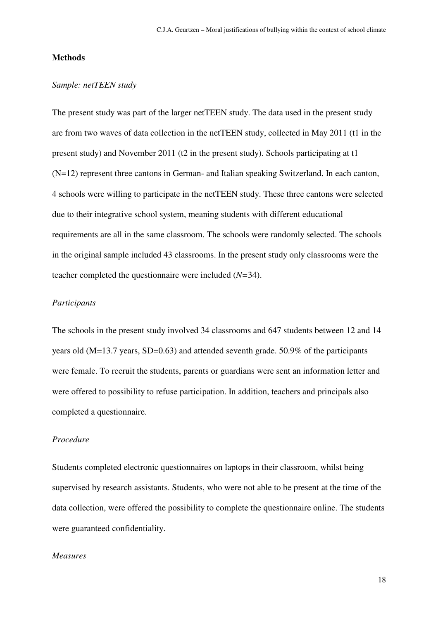### **Methods**

# *Sample: netTEEN study*

The present study was part of the larger netTEEN study. The data used in the present study are from two waves of data collection in the netTEEN study, collected in May 2011 (t1 in the present study) and November 2011 (t2 in the present study). Schools participating at t1 (N=12) represent three cantons in German- and Italian speaking Switzerland. In each canton, 4 schools were willing to participate in the netTEEN study. These three cantons were selected due to their integrative school system, meaning students with different educational requirements are all in the same classroom. The schools were randomly selected. The schools in the original sample included 43 classrooms. In the present study only classrooms were the teacher completed the questionnaire were included (*N=*34).

### *Participants*

The schools in the present study involved 34 classrooms and 647 students between 12 and 14 years old (M=13.7 years, SD=0.63) and attended seventh grade. 50.9% of the participants were female. To recruit the students, parents or guardians were sent an information letter and were offered to possibility to refuse participation. In addition, teachers and principals also completed a questionnaire.

# *Procedure*

Students completed electronic questionnaires on laptops in their classroom, whilst being supervised by research assistants. Students, who were not able to be present at the time of the data collection, were offered the possibility to complete the questionnaire online. The students were guaranteed confidentiality.

### *Measures*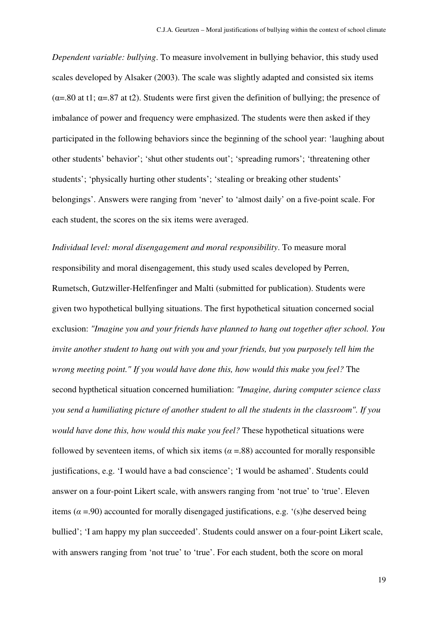*Dependent variable: bullying*. To measure involvement in bullying behavior, this study used scales developed by Alsaker (2003). The scale was slightly adapted and consisted six items ( $\alpha$ =.80 at t1;  $\alpha$ =.87 at t2). Students were first given the definition of bullying; the presence of imbalance of power and frequency were emphasized. The students were then asked if they participated in the following behaviors since the beginning of the school year: 'laughing about other students' behavior'; 'shut other students out'; 'spreading rumors'; 'threatening other students'; 'physically hurting other students'; 'stealing or breaking other students' belongings'. Answers were ranging from 'never' to 'almost daily' on a five-point scale. For each student, the scores on the six items were averaged.

*Individual level: moral disengagement and moral responsibility*. To measure moral responsibility and moral disengagement, this study used scales developed by Perren, Rumetsch, Gutzwiller-Helfenfinger and Malti (submitted for publication). Students were given two hypothetical bullying situations. The first hypothetical situation concerned social exclusion: *"Imagine you and your friends have planned to hang out together after school. You invite another student to hang out with you and your friends, but you purposely tell him the wrong meeting point." If you would have done this, how would this make you feel?* The second hypthetical situation concerned humiliation: *"Imagine, during computer science class you send a humiliating picture of another student to all the students in the classroom". If you would have done this, how would this make you feel?* These hypothetical situations were followed by seventeen items, of which six items ( $\alpha$  =.88) accounted for morally responsible justifications, e.g. 'I would have a bad conscience'; 'I would be ashamed'. Students could answer on a four-point Likert scale, with answers ranging from 'not true' to 'true'. Eleven items ( $\alpha$  =.90) accounted for morally disengaged justifications, e.g. '(s) he deserved being bullied'; 'I am happy my plan succeeded'. Students could answer on a four-point Likert scale, with answers ranging from 'not true' to 'true'. For each student, both the score on moral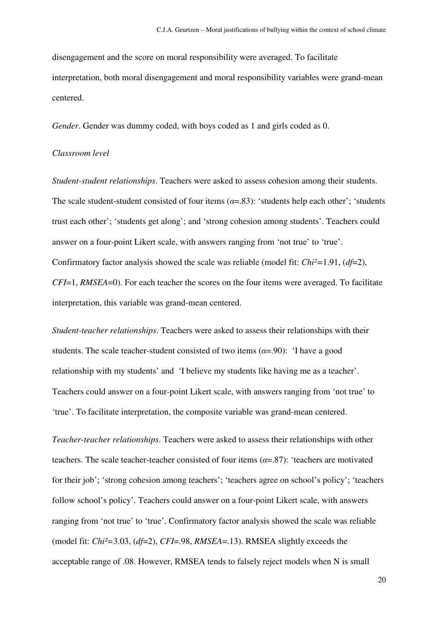disengagement and the score on moral responsibility were averaged. To facilitate interpretation, both moral disengagement and moral responsibility variables were grand-mean centered.

*Gender*. Gender was dummy coded, with boys coded as 1 and girls coded as 0.

# *Classroom level*

*Student-student relationships*. Teachers were asked to assess cohesion among their students. The scale student-student consisted of four items  $(a=83)$ : 'students help each other'; 'students trust each other'; 'students get along'; and 'strong cohesion among students'. Teachers could answer on a four-point Likert scale, with answers ranging from 'not true' to 'true'. Confirmatory factor analysis showed the scale was reliable (model fit: *Chi²=*1.91, (*df*=2), *CFI*=1, *RMSEA*=0). For each teacher the scores on the four items were averaged. To facilitate interpretation, this variable was grand-mean centered.

*Student-teacher relationships*. Teachers were asked to assess their relationships with their students. The scale teacher-student consisted of two items  $(a=90)$ : 'I have a good relationship with my students' and 'I believe my students like having me as a teacher'. Teachers could answer on a four-point Likert scale, with answers ranging from 'not true' to 'true'. To facilitate interpretation, the composite variable was grand-mean centered.

*Teacher-teacher relationships*. Teachers were asked to assess their relationships with other teachers. The scale teacher-teacher consisted of four items ( $\alpha$ =.87): 'teachers are motivated for their job'; 'strong cohesion among teachers'; 'teachers agree on school's policy'; 'teachers follow school's policy'. Teachers could answer on a four-point Likert scale, with answers ranging from 'not true' to 'true'. Confirmatory factor analysis showed the scale was reliable (model fit: *Chi²=*3.03, (*df*=2), *CFI*=.98, *RMSEA*=.13). RMSEA slightly exceeds the acceptable range of .08. However, RMSEA tends to falsely reject models when N is small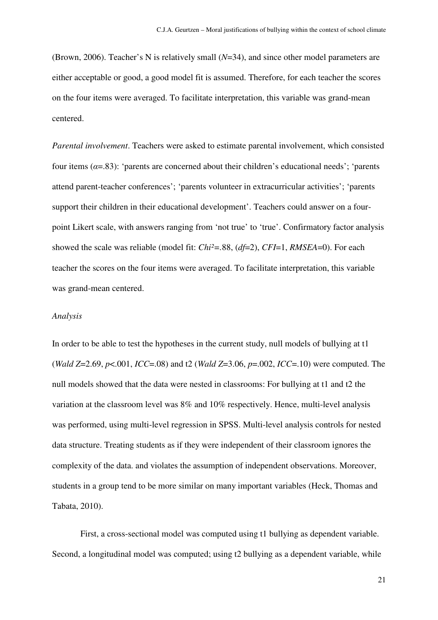(Brown, 2006). Teacher's N is relatively small (*N*=34), and since other model parameters are either acceptable or good, a good model fit is assumed. Therefore, for each teacher the scores on the four items were averaged. To facilitate interpretation, this variable was grand-mean centered.

*Parental involvement*. Teachers were asked to estimate parental involvement, which consisted four items ( $\alpha$ =.83): 'parents are concerned about their children's educational needs'; 'parents attend parent-teacher conferences'; 'parents volunteer in extracurricular activities'; 'parents support their children in their educational development'. Teachers could answer on a fourpoint Likert scale, with answers ranging from 'not true' to 'true'. Confirmatory factor analysis showed the scale was reliable (model fit: *Chi²=.*88, (*df*=2), *CFI*=1, *RMSEA*=0). For each teacher the scores on the four items were averaged. To facilitate interpretation, this variable was grand-mean centered.

#### *Analysis*

In order to be able to test the hypotheses in the current study, null models of bullying at t1 (*Wald Z*=2.69, *p*<.001, *ICC*=.08) and t2 (*Wald Z*=3.06, *p*=.002, *ICC*=.10) were computed. The null models showed that the data were nested in classrooms: For bullying at t1 and t2 the variation at the classroom level was 8% and 10% respectively. Hence, multi-level analysis was performed, using multi-level regression in SPSS. Multi-level analysis controls for nested data structure. Treating students as if they were independent of their classroom ignores the complexity of the data. and violates the assumption of independent observations. Moreover, students in a group tend to be more similar on many important variables (Heck, Thomas and Tabata, 2010).

 First, a cross-sectional model was computed using t1 bullying as dependent variable. Second, a longitudinal model was computed; using t2 bullying as a dependent variable, while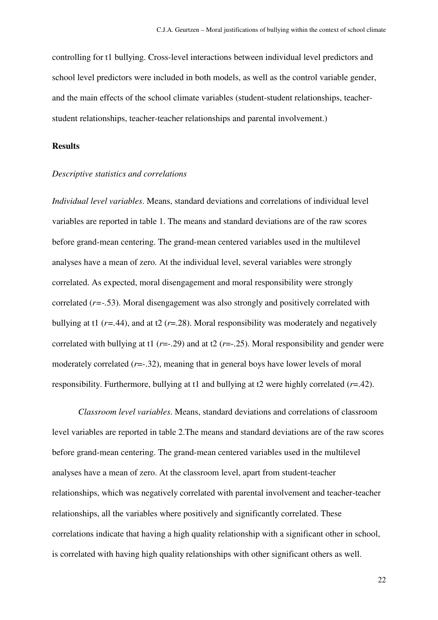controlling for t1 bullying. Cross-level interactions between individual level predictors and school level predictors were included in both models, as well as the control variable gender, and the main effects of the school climate variables (student-student relationships, teacherstudent relationships, teacher-teacher relationships and parental involvement.)

### **Results**

# *Descriptive statistics and correlations*

*Individual level variables*. Means, standard deviations and correlations of individual level variables are reported in table 1. The means and standard deviations are of the raw scores before grand-mean centering. The grand-mean centered variables used in the multilevel analyses have a mean of zero. At the individual level, several variables were strongly correlated. As expected, moral disengagement and moral responsibility were strongly correlated (*r=-.*53). Moral disengagement was also strongly and positively correlated with bullying at t1 ( $r = .44$ ), and at t2 ( $r = .28$ ). Moral responsibility was moderately and negatively correlated with bullying at t1 (*r*=-.29) and at t2 (*r*=-.25). Moral responsibility and gender were moderately correlated ( $r = -32$ ), meaning that in general boys have lower levels of moral responsibility. Furthermore, bullying at t1 and bullying at t2 were highly correlated (*r*=.42).

*Classroom level variables*. Means, standard deviations and correlations of classroom level variables are reported in table 2.The means and standard deviations are of the raw scores before grand-mean centering. The grand-mean centered variables used in the multilevel analyses have a mean of zero. At the classroom level, apart from student-teacher relationships, which was negatively correlated with parental involvement and teacher-teacher relationships, all the variables where positively and significantly correlated. These correlations indicate that having a high quality relationship with a significant other in school, is correlated with having high quality relationships with other significant others as well.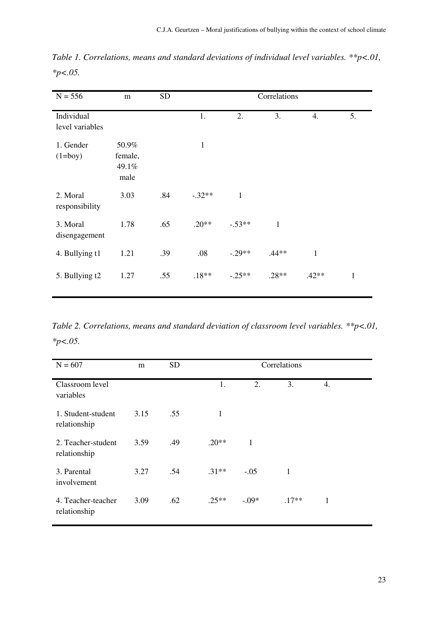| $N = 556$                     | m                                 | <b>SD</b> | Correlations |          |              |              |              |
|-------------------------------|-----------------------------------|-----------|--------------|----------|--------------|--------------|--------------|
| Individual<br>level variables |                                   |           | 1.           | 2.       | 3.           | 4.           | 5.           |
| 1. Gender<br>$(1=boy)$        | 50.9%<br>female,<br>49.1%<br>male |           | $\mathbf{1}$ |          |              |              |              |
| 2. Moral<br>responsibility    | 3.03                              | .84       | $-.32**$     | 1        |              |              |              |
| 3. Moral<br>disengagement     | 1.78                              | .65       | $.20**$      | $-.53**$ | $\mathbf{1}$ |              |              |
| 4. Bullying t1                | 1.21                              | .39       | .08          | $-.29**$ | $.44**$      | $\mathbf{1}$ |              |
| 5. Bullying t2                | 1.27                              | .55       | $.18**$      | $-.25**$ | $.28**$      | $.42**$      | $\mathbf{1}$ |

*Table 1. Correlations, means and standard deviations of individual level variables. \*\*p<.01, \*p<.05.*

*Table 2. Correlations, means and standard deviation of classroom level variables. \*\*p<.01, \*p<.05.*

| $N = 607$                          | m    | <b>SD</b> | Correlations |              |              |    |  |
|------------------------------------|------|-----------|--------------|--------------|--------------|----|--|
| Classroom level<br>variables       |      |           | 1.           | 2.           | 3.           | 4. |  |
| 1. Student-student<br>relationship | 3.15 | .55       | $\mathbf{1}$ |              |              |    |  |
| 2. Teacher-student<br>relationship | 3.59 | .49       | $.20**$      | $\mathbf{1}$ |              |    |  |
| 3. Parental<br>involvement         | 3.27 | .54       | $.31**$      | $-.05$       | $\mathbf{1}$ |    |  |
| 4. Teacher-teacher<br>relationship | 3.09 | .62       | $.25**$      | $-.09*$      | $.17**$      | 1  |  |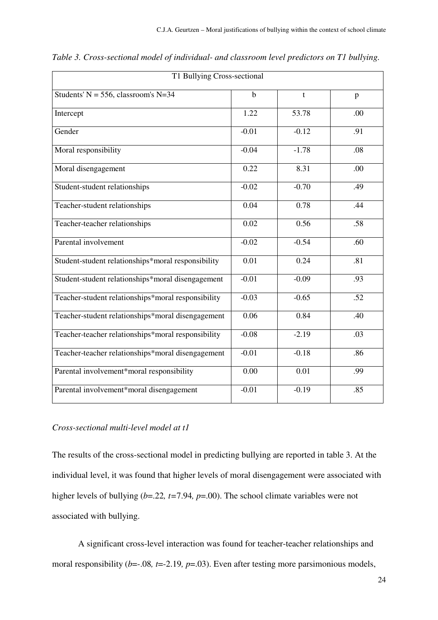| T1 Bullying Cross-sectional                        |             |         |     |  |  |  |
|----------------------------------------------------|-------------|---------|-----|--|--|--|
| Students' N = 556, classroom's N=34                | $\mathbf b$ | t       | p   |  |  |  |
| Intercept                                          | 1.22        | 53.78   | .00 |  |  |  |
| Gender                                             | $-0.01$     | $-0.12$ | .91 |  |  |  |
| Moral responsibility                               | $-0.04$     | $-1.78$ | .08 |  |  |  |
| Moral disengagement                                | 0.22        | 8.31    | .00 |  |  |  |
| Student-student relationships                      | $-0.02$     | $-0.70$ | .49 |  |  |  |
| Teacher-student relationships                      | 0.04        | 0.78    | .44 |  |  |  |
| Teacher-teacher relationships                      | 0.02        | 0.56    | .58 |  |  |  |
| Parental involvement                               | $-0.02$     | $-0.54$ | .60 |  |  |  |
| Student-student relationships*moral responsibility | 0.01        | 0.24    | .81 |  |  |  |
| Student-student relationships*moral disengagement  | $-0.01$     | $-0.09$ | .93 |  |  |  |
| Teacher-student relationships*moral responsibility | $-0.03$     | $-0.65$ | .52 |  |  |  |
| Teacher-student relationships*moral disengagement  | 0.06        | 0.84    | .40 |  |  |  |
| Teacher-teacher relationships*moral responsibility | $-0.08$     | $-2.19$ | .03 |  |  |  |
| Teacher-teacher relationships*moral disengagement  | $-0.01$     | $-0.18$ | .86 |  |  |  |
| Parental involvement*moral responsibility          | 0.00        | 0.01    | .99 |  |  |  |
| Parental involvement*moral disengagement           | $-0.01$     | $-0.19$ | .85 |  |  |  |
|                                                    |             |         |     |  |  |  |

*Table 3. Cross-sectional model of individual- and classroom level predictors on T1 bullying.* 

# *Cross-sectional multi-level model at t1*

The results of the cross-sectional model in predicting bullying are reported in table 3. At the individual level, it was found that higher levels of moral disengagement were associated with higher levels of bullying (*b*=.22*, t=*7.94*, p*=.00). The school climate variables were not associated with bullying.

A significant cross-level interaction was found for teacher-teacher relationships and moral responsibility (*b*=-.08, *t*=-2.19, *p*=.03). Even after testing more parsimonious models,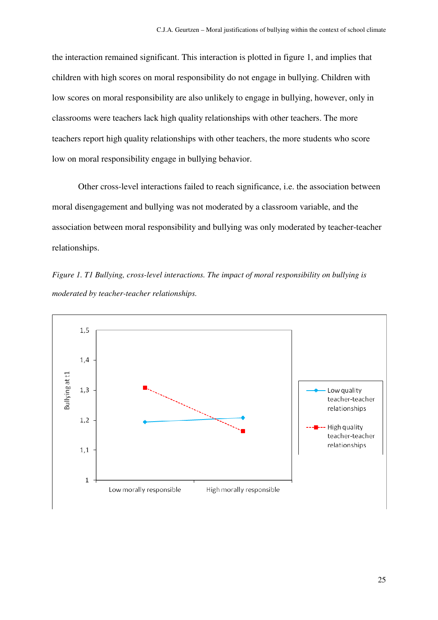the interaction remained significant. This interaction is plotted in figure 1, and implies that children with high scores on moral responsibility do not engage in bullying. Children with low scores on moral responsibility are also unlikely to engage in bullying, however, only in classrooms were teachers lack high quality relationships with other teachers. The more teachers report high quality relationships with other teachers, the more students who score low on moral responsibility engage in bullying behavior.

Other cross-level interactions failed to reach significance, i.e. the association between moral disengagement and bullying was not moderated by a classroom variable, and the association between moral responsibility and bullying was only moderated by teacher-teacher relationships.

*Figure 1. T1 Bullying, cross-level interactions. The impact of moral responsibility on bullying is moderated by teacher-teacher relationships.* 

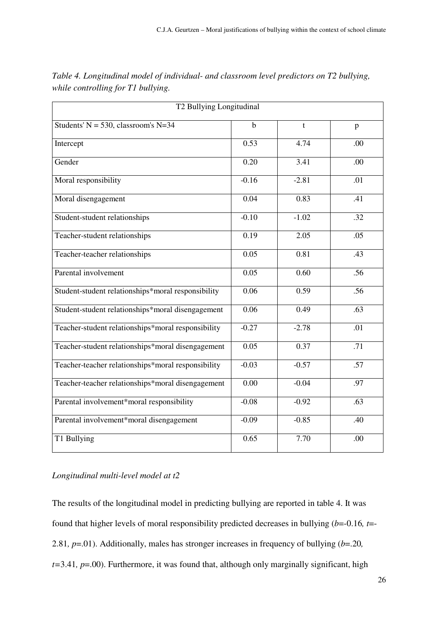| T2 Bullying Longitudinal                           |             |              |                  |  |  |  |
|----------------------------------------------------|-------------|--------------|------------------|--|--|--|
| Students' $N = 530$ , classroom's N=34             | $\mathbf b$ | $\mathbf{t}$ | p                |  |  |  |
| Intercept                                          | 0.53        | 4.74         | .00              |  |  |  |
| Gender                                             | 0.20        | 3.41         | .00              |  |  |  |
| Moral responsibility                               | $-0.16$     | $-2.81$      | .01              |  |  |  |
| Moral disengagement                                | 0.04        | 0.83         | .41              |  |  |  |
| Student-student relationships                      | $-0.10$     | $-1.02$      | .32              |  |  |  |
| Teacher-student relationships                      | 0.19        | 2.05         | .05              |  |  |  |
| Teacher-teacher relationships                      | 0.05        | 0.81         | .43              |  |  |  |
| Parental involvement                               | 0.05        | 0.60         | .56              |  |  |  |
| Student-student relationships*moral responsibility | 0.06        | 0.59         | $\overline{.56}$ |  |  |  |
| Student-student relationships*moral disengagement  | 0.06        | 0.49         | .63              |  |  |  |
| Teacher-student relationships*moral responsibility | $-0.27$     | $-2.78$      | $\overline{.01}$ |  |  |  |
| Teacher-student relationships*moral disengagement  | 0.05        | 0.37         | .71              |  |  |  |
| Teacher-teacher relationships*moral responsibility | $-0.03$     | $-0.57$      | .57              |  |  |  |
| Teacher-teacher relationships*moral disengagement  | 0.00        | $-0.04$      | .97              |  |  |  |
| Parental involvement*moral responsibility          | $-0.08$     | $-0.92$      | .63              |  |  |  |
| Parental involvement*moral disengagement           | $-0.09$     | $-0.85$      | .40              |  |  |  |
| T1 Bullying                                        | 0.65        | 7.70         | .00              |  |  |  |

*Table 4. Longitudinal model of individual- and classroom level predictors on T2 bullying, while controlling for T1 bullying.*

# *Longitudinal multi-level model at t2*

The results of the longitudinal model in predicting bullying are reported in table 4. It was found that higher levels of moral responsibility predicted decreases in bullying (*b*=-0.16*, t*=- 2.81*, p*=.01). Additionally, males has stronger increases in frequency of bullying (*b*=.20*, t=*3.41*, p*=.00). Furthermore, it was found that, although only marginally significant, high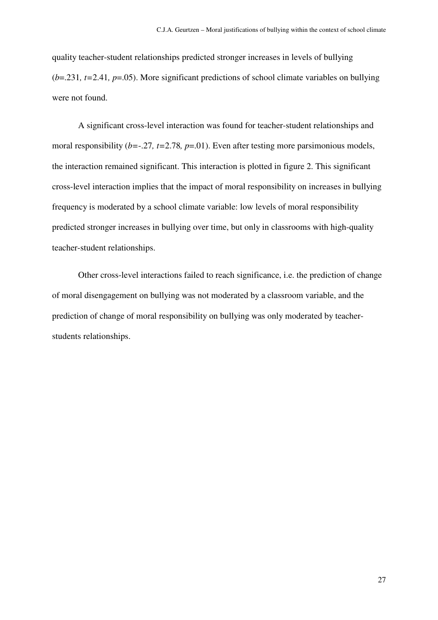quality teacher-student relationships predicted stronger increases in levels of bullying (*b*=.231*, t=*2.41*, p*=.05). More significant predictions of school climate variables on bullying were not found.

A significant cross-level interaction was found for teacher-student relationships and moral responsibility (*b*=-.27*, t*=2.78*, p*=.01). Even after testing more parsimonious models, the interaction remained significant. This interaction is plotted in figure 2. This significant cross-level interaction implies that the impact of moral responsibility on increases in bullying frequency is moderated by a school climate variable: low levels of moral responsibility predicted stronger increases in bullying over time, but only in classrooms with high-quality teacher-student relationships.

Other cross-level interactions failed to reach significance, i.e. the prediction of change of moral disengagement on bullying was not moderated by a classroom variable, and the prediction of change of moral responsibility on bullying was only moderated by teacherstudents relationships.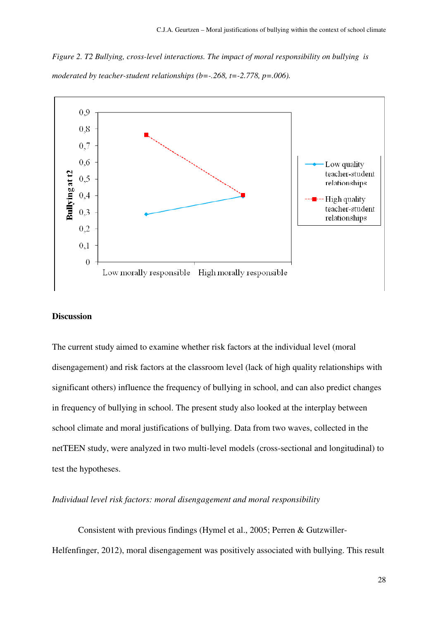*Figure 2. T2 Bullying, cross-level interactions. The impact of moral responsibility on bullying is moderated by teacher-student relationships (b=-.268, t=-2.778, p=.006).* 



### **Discussion**

The current study aimed to examine whether risk factors at the individual level (moral disengagement) and risk factors at the classroom level (lack of high quality relationships with significant others) influence the frequency of bullying in school, and can also predict changes in frequency of bullying in school. The present study also looked at the interplay between school climate and moral justifications of bullying. Data from two waves, collected in the netTEEN study, were analyzed in two multi-level models (cross-sectional and longitudinal) to test the hypotheses.

# *Individual level risk factors: moral disengagement and moral responsibility*

 Consistent with previous findings (Hymel et al., 2005; Perren & Gutzwiller-Helfenfinger, 2012), moral disengagement was positively associated with bullying. This result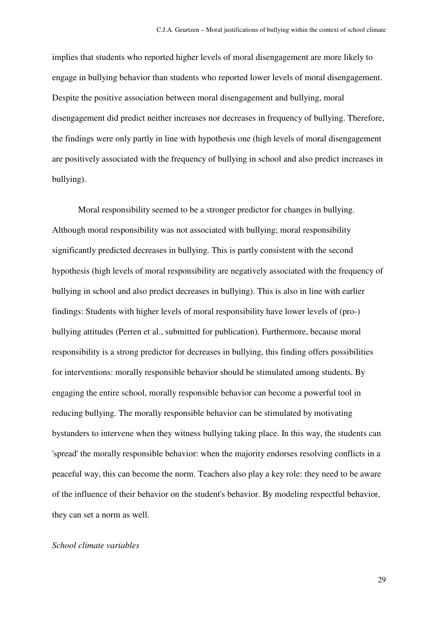implies that students who reported higher levels of moral disengagement are more likely to engage in bullying behavior than students who reported lower levels of moral disengagement. Despite the positive association between moral disengagement and bullying, moral disengagement did predict neither increases nor decreases in frequency of bullying. Therefore, the findings were only partly in line with hypothesis one (high levels of moral disengagement are positively associated with the frequency of bullying in school and also predict increases in bullying).

 Moral responsibility seemed to be a stronger predictor for changes in bullying. Although moral responsibility was not associated with bullying; moral responsibility significantly predicted decreases in bullying. This is partly consistent with the second hypothesis (high levels of moral responsibility are negatively associated with the frequency of bullying in school and also predict decreases in bullying). This is also in line with earlier findings: Students with higher levels of moral responsibility have lower levels of (pro-) bullying attitudes (Perren et al., submitted for publication). Furthermore, because moral responsibility is a strong predictor for decreases in bullying, this finding offers possibilities for interventions: morally responsible behavior should be stimulated among students. By engaging the entire school, morally responsible behavior can become a powerful tool in reducing bullying. The morally responsible behavior can be stimulated by motivating bystanders to intervene when they witness bullying taking place. In this way, the students can 'spread' the morally responsible behavior: when the majority endorses resolving conflicts in a peaceful way, this can become the norm. Teachers also play a key role: they need to be aware of the influence of their behavior on the student's behavior. By modeling respectful behavior, they can set a norm as well.

### *School climate variables*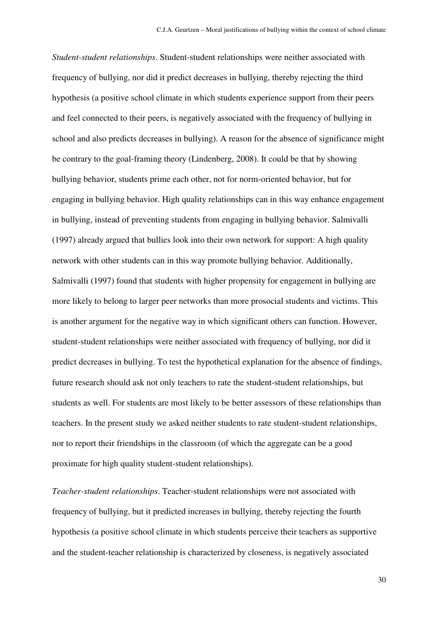*Student-student relationships*. Student-student relationships were neither associated with frequency of bullying, nor did it predict decreases in bullying, thereby rejecting the third hypothesis (a positive school climate in which students experience support from their peers and feel connected to their peers, is negatively associated with the frequency of bullying in school and also predicts decreases in bullying). A reason for the absence of significance might be contrary to the goal-framing theory (Lindenberg, 2008). It could be that by showing bullying behavior, students prime each other, not for norm-oriented behavior, but for engaging in bullying behavior. High quality relationships can in this way enhance engagement in bullying, instead of preventing students from engaging in bullying behavior. Salmivalli (1997) already argued that bullies look into their own network for support: A high quality network with other students can in this way promote bullying behavior. Additionally, Salmivalli (1997) found that students with higher propensity for engagement in bullying are more likely to belong to larger peer networks than more prosocial students and victims. This is another argument for the negative way in which significant others can function. However, student-student relationships were neither associated with frequency of bullying, nor did it predict decreases in bullying. To test the hypothetical explanation for the absence of findings, future research should ask not only teachers to rate the student-student relationships, but students as well. For students are most likely to be better assessors of these relationships than teachers. In the present study we asked neither students to rate student-student relationships, nor to report their friendships in the classroom (of which the aggregate can be a good proximate for high quality student-student relationships).

*Teacher-student relationships*. Teacher-student relationships were not associated with frequency of bullying, but it predicted increases in bullying, thereby rejecting the fourth hypothesis (a positive school climate in which students perceive their teachers as supportive and the student-teacher relationship is characterized by closeness, is negatively associated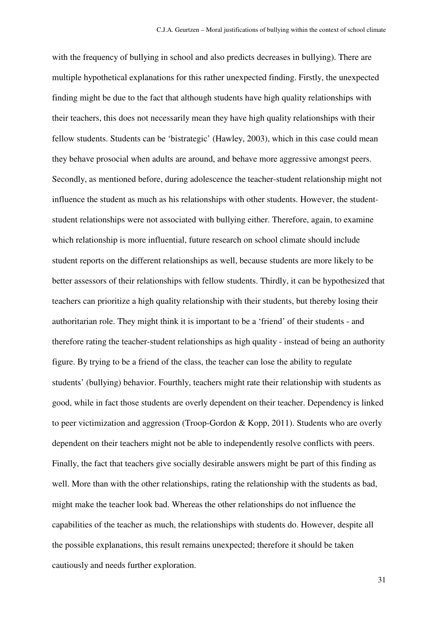with the frequency of bullying in school and also predicts decreases in bullying). There are multiple hypothetical explanations for this rather unexpected finding. Firstly, the unexpected finding might be due to the fact that although students have high quality relationships with their teachers, this does not necessarily mean they have high quality relationships with their fellow students. Students can be 'bistrategic' (Hawley, 2003), which in this case could mean they behave prosocial when adults are around, and behave more aggressive amongst peers. Secondly, as mentioned before, during adolescence the teacher-student relationship might not influence the student as much as his relationships with other students. However, the studentstudent relationships were not associated with bullying either. Therefore, again, to examine which relationship is more influential, future research on school climate should include student reports on the different relationships as well, because students are more likely to be better assessors of their relationships with fellow students. Thirdly, it can be hypothesized that teachers can prioritize a high quality relationship with their students, but thereby losing their authoritarian role. They might think it is important to be a 'friend' of their students - and therefore rating the teacher-student relationships as high quality - instead of being an authority figure. By trying to be a friend of the class, the teacher can lose the ability to regulate students' (bullying) behavior. Fourthly, teachers might rate their relationship with students as good, while in fact those students are overly dependent on their teacher. Dependency is linked to peer victimization and aggression (Troop-Gordon & Kopp, 2011). Students who are overly dependent on their teachers might not be able to independently resolve conflicts with peers. Finally, the fact that teachers give socially desirable answers might be part of this finding as well. More than with the other relationships, rating the relationship with the students as bad, might make the teacher look bad. Whereas the other relationships do not influence the capabilities of the teacher as much, the relationships with students do. However, despite all the possible explanations, this result remains unexpected; therefore it should be taken cautiously and needs further exploration.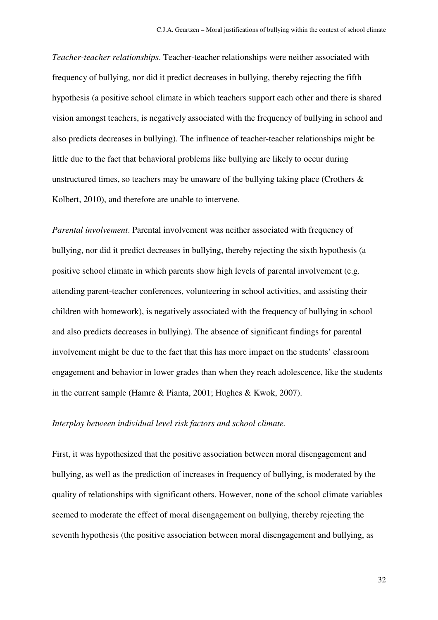*Teacher-teacher relationships*. Teacher-teacher relationships were neither associated with frequency of bullying, nor did it predict decreases in bullying, thereby rejecting the fifth hypothesis (a positive school climate in which teachers support each other and there is shared vision amongst teachers, is negatively associated with the frequency of bullying in school and also predicts decreases in bullying). The influence of teacher-teacher relationships might be little due to the fact that behavioral problems like bullying are likely to occur during unstructured times, so teachers may be unaware of the bullying taking place (Crothers  $\&$ Kolbert, 2010), and therefore are unable to intervene.

*Parental involvement*. Parental involvement was neither associated with frequency of bullying, nor did it predict decreases in bullying, thereby rejecting the sixth hypothesis (a positive school climate in which parents show high levels of parental involvement (e.g. attending parent-teacher conferences, volunteering in school activities, and assisting their children with homework), is negatively associated with the frequency of bullying in school and also predicts decreases in bullying). The absence of significant findings for parental involvement might be due to the fact that this has more impact on the students' classroom engagement and behavior in lower grades than when they reach adolescence, like the students in the current sample (Hamre & Pianta, 2001; Hughes & Kwok, 2007).

#### *Interplay between individual level risk factors and school climate.*

First, it was hypothesized that the positive association between moral disengagement and bullying, as well as the prediction of increases in frequency of bullying, is moderated by the quality of relationships with significant others. However, none of the school climate variables seemed to moderate the effect of moral disengagement on bullying, thereby rejecting the seventh hypothesis (the positive association between moral disengagement and bullying, as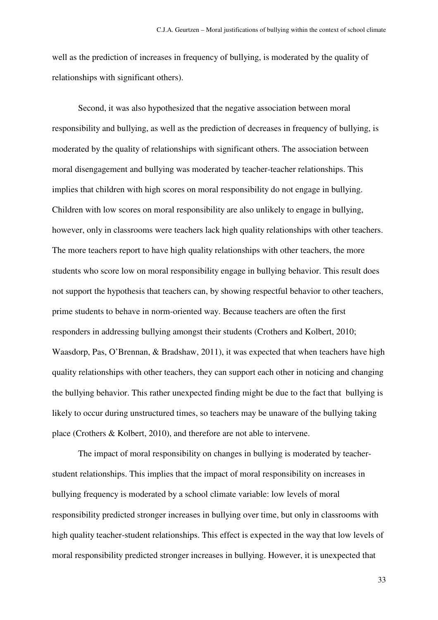well as the prediction of increases in frequency of bullying, is moderated by the quality of relationships with significant others).

Second, it was also hypothesized that the negative association between moral responsibility and bullying, as well as the prediction of decreases in frequency of bullying, is moderated by the quality of relationships with significant others. The association between moral disengagement and bullying was moderated by teacher-teacher relationships. This implies that children with high scores on moral responsibility do not engage in bullying. Children with low scores on moral responsibility are also unlikely to engage in bullying, however, only in classrooms were teachers lack high quality relationships with other teachers. The more teachers report to have high quality relationships with other teachers, the more students who score low on moral responsibility engage in bullying behavior. This result does not support the hypothesis that teachers can, by showing respectful behavior to other teachers, prime students to behave in norm-oriented way. Because teachers are often the first responders in addressing bullying amongst their students (Crothers and Kolbert, 2010; Waasdorp, Pas, O'Brennan, & Bradshaw, 2011), it was expected that when teachers have high quality relationships with other teachers, they can support each other in noticing and changing the bullying behavior. This rather unexpected finding might be due to the fact that bullying is likely to occur during unstructured times, so teachers may be unaware of the bullying taking place (Crothers & Kolbert, 2010), and therefore are not able to intervene.

 The impact of moral responsibility on changes in bullying is moderated by teacherstudent relationships. This implies that the impact of moral responsibility on increases in bullying frequency is moderated by a school climate variable: low levels of moral responsibility predicted stronger increases in bullying over time, but only in classrooms with high quality teacher-student relationships. This effect is expected in the way that low levels of moral responsibility predicted stronger increases in bullying. However, it is unexpected that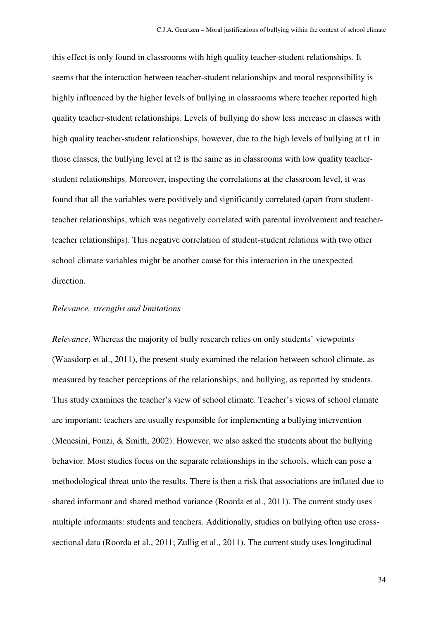this effect is only found in classrooms with high quality teacher-student relationships. It seems that the interaction between teacher-student relationships and moral responsibility is highly influenced by the higher levels of bullying in classrooms where teacher reported high quality teacher-student relationships. Levels of bullying do show less increase in classes with high quality teacher-student relationships, however, due to the high levels of bullying at t1 in those classes, the bullying level at t2 is the same as in classrooms with low quality teacherstudent relationships. Moreover, inspecting the correlations at the classroom level, it was found that all the variables were positively and significantly correlated (apart from studentteacher relationships, which was negatively correlated with parental involvement and teacherteacher relationships). This negative correlation of student-student relations with two other school climate variables might be another cause for this interaction in the unexpected direction.

### *Relevance, strengths and limitations*

*Relevance*. Whereas the majority of bully research relies on only students' viewpoints (Waasdorp et al., 2011), the present study examined the relation between school climate, as measured by teacher perceptions of the relationships, and bullying, as reported by students. This study examines the teacher's view of school climate. Teacher's views of school climate are important: teachers are usually responsible for implementing a bullying intervention (Menesini, Fonzi, & Smith, 2002). However, we also asked the students about the bullying behavior. Most studies focus on the separate relationships in the schools, which can pose a methodological threat unto the results. There is then a risk that associations are inflated due to shared informant and shared method variance (Roorda et al., 2011). The current study uses multiple informants: students and teachers. Additionally, studies on bullying often use crosssectional data (Roorda et al., 2011; Zullig et al., 2011). The current study uses longitudinal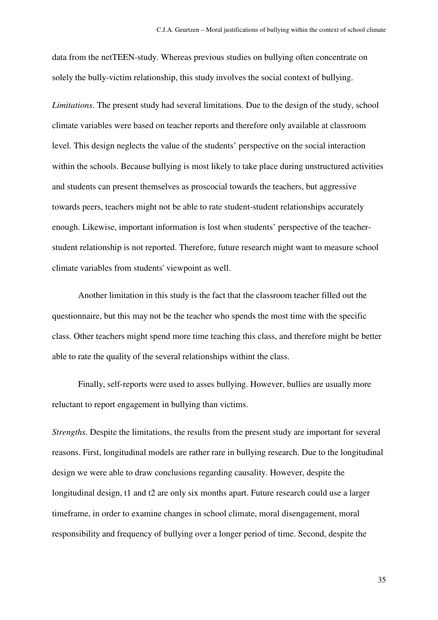data from the netTEEN-study. Whereas previous studies on bullying often concentrate on solely the bully-victim relationship, this study involves the social context of bullying.

*Limitations*. The present study had several limitations. Due to the design of the study, school climate variables were based on teacher reports and therefore only available at classroom level. This design neglects the value of the students' perspective on the social interaction within the schools. Because bullying is most likely to take place during unstructured activities and students can present themselves as proscocial towards the teachers, but aggressive towards peers, teachers might not be able to rate student-student relationships accurately enough. Likewise, important information is lost when students' perspective of the teacherstudent relationship is not reported. Therefore, future research might want to measure school climate variables from students' viewpoint as well.

 Another limitation in this study is the fact that the classroom teacher filled out the questionnaire, but this may not be the teacher who spends the most time with the specific class. Other teachers might spend more time teaching this class, and therefore might be better able to rate the quality of the several relationships withint the class.

 Finally, self-reports were used to asses bullying. However, bullies are usually more reluctant to report engagement in bullying than victims.

*Strengths*. Despite the limitations, the results from the present study are important for several reasons. First, longitudinal models are rather rare in bullying research. Due to the longitudinal design we were able to draw conclusions regarding causality. However, despite the longitudinal design, t1 and t2 are only six months apart. Future research could use a larger timeframe, in order to examine changes in school climate, moral disengagement, moral responsibility and frequency of bullying over a longer period of time. Second, despite the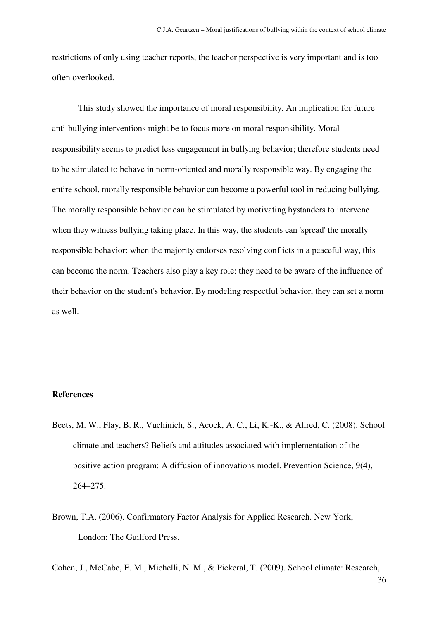restrictions of only using teacher reports, the teacher perspective is very important and is too often overlooked.

This study showed the importance of moral responsibility. An implication for future anti-bullying interventions might be to focus more on moral responsibility. Moral responsibility seems to predict less engagement in bullying behavior; therefore students need to be stimulated to behave in norm-oriented and morally responsible way. By engaging the entire school, morally responsible behavior can become a powerful tool in reducing bullying. The morally responsible behavior can be stimulated by motivating bystanders to intervene when they witness bullying taking place. In this way, the students can 'spread' the morally responsible behavior: when the majority endorses resolving conflicts in a peaceful way, this can become the norm. Teachers also play a key role: they need to be aware of the influence of their behavior on the student's behavior. By modeling respectful behavior, they can set a norm as well.

### **References**

- Beets, M. W., Flay, B. R., Vuchinich, S., Acock, A. C., Li, K.-K., & Allred, C. (2008). School climate and teachers? Beliefs and attitudes associated with implementation of the positive action program: A diffusion of innovations model. Prevention Science, 9(4), 264–275.
- Brown, T.A. (2006). Confirmatory Factor Analysis for Applied Research. New York, London: The Guilford Press.

Cohen, J., McCabe, E. M., Michelli, N. M., & Pickeral, T. (2009). School climate: Research,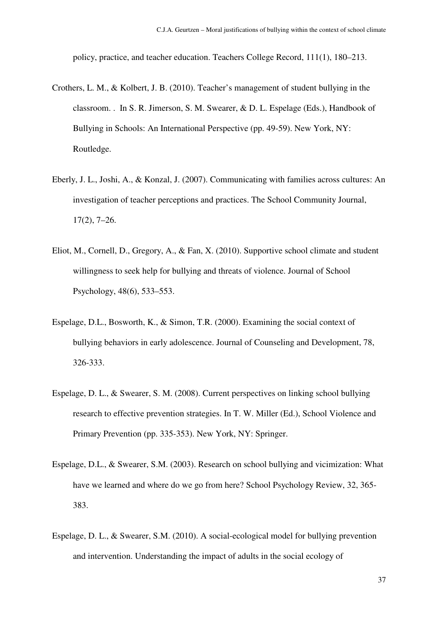policy, practice, and teacher education. Teachers College Record, 111(1), 180–213.

- Crothers, L. M., & Kolbert, J. B. (2010). Teacher's management of student bullying in the classroom. . In S. R. Jimerson, S. M. Swearer, & D. L. Espelage (Eds.), Handbook of Bullying in Schools: An International Perspective (pp. 49-59). New York, NY: Routledge.
- Eberly, J. L., Joshi, A., & Konzal, J. (2007). Communicating with families across cultures: An investigation of teacher perceptions and practices. The School Community Journal, 17(2), 7–26.
- Eliot, M., Cornell, D., Gregory, A., & Fan, X. (2010). Supportive school climate and student willingness to seek help for bullying and threats of violence. Journal of School Psychology, 48(6), 533–553.
- Espelage, D.L., Bosworth, K., & Simon, T.R. (2000). Examining the social context of bullying behaviors in early adolescence. Journal of Counseling and Development, 78, 326-333.
- Espelage, D. L., & Swearer, S. M. (2008). Current perspectives on linking school bullying research to effective prevention strategies. In T. W. Miller (Ed.), School Violence and Primary Prevention (pp. 335-353). New York, NY: Springer.
- Espelage, D.L., & Swearer, S.M. (2003). Research on school bullying and vicimization: What have we learned and where do we go from here? School Psychology Review, 32, 365- 383.
- Espelage, D. L., & Swearer, S.M. (2010). A social-ecological model for bullying prevention and intervention. Understanding the impact of adults in the social ecology of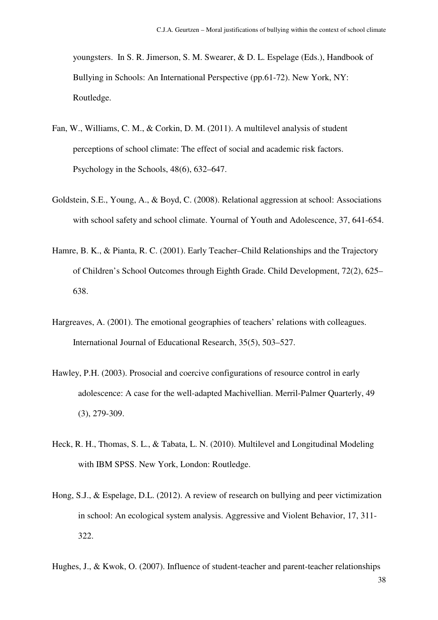youngsters. In S. R. Jimerson, S. M. Swearer, & D. L. Espelage (Eds.), Handbook of Bullying in Schools: An International Perspective (pp.61-72). New York, NY: Routledge.

- Fan, W., Williams, C. M., & Corkin, D. M. (2011). A multilevel analysis of student perceptions of school climate: The effect of social and academic risk factors. Psychology in the Schools, 48(6), 632–647.
- Goldstein, S.E., Young, A., & Boyd, C. (2008). Relational aggression at school: Associations with school safety and school climate. Yournal of Youth and Adolescence, 37, 641-654.
- Hamre, B. K., & Pianta, R. C. (2001). Early Teacher–Child Relationships and the Trajectory of Children's School Outcomes through Eighth Grade. Child Development, 72(2), 625– 638.
- Hargreaves, A. (2001). The emotional geographies of teachers' relations with colleagues. International Journal of Educational Research, 35(5), 503–527.
- Hawley, P.H. (2003). Prosocial and coercive configurations of resource control in early adolescence: A case for the well-adapted Machivellian. Merril-Palmer Quarterly, 49 (3), 279-309.
- Heck, R. H., Thomas, S. L., & Tabata, L. N. (2010). Multilevel and Longitudinal Modeling with IBM SPSS. New York, London: Routledge.
- Hong, S.J., & Espelage, D.L. (2012). A review of research on bullying and peer victimization in school: An ecological system analysis. Aggressive and Violent Behavior, 17, 311- 322.

Hughes, J., & Kwok, O. (2007). Influence of student-teacher and parent-teacher relationships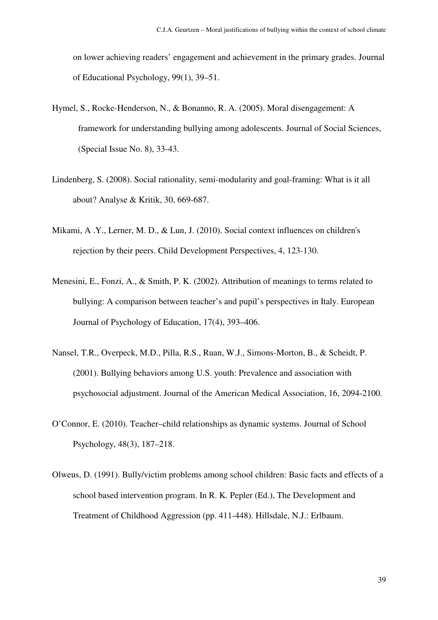on lower achieving readers' engagement and achievement in the primary grades. Journal of Educational Psychology, 99(1), 39–51.

- Hymel, S., Rocke-Henderson, N., & Bonanno, R. A. (2005). Moral disengagement: A framework for understanding bullying among adolescents. Journal of Social Sciences, (Special Issue No. 8), 33-43.
- Lindenberg, S. (2008). Social rationality, semi-modularity and goal-framing: What is it all about? Analyse & Kritik, 30, 669-687.
- Mikami, A .Y., Lerner, M. D., & Lun, J. (2010). Social context influences on children's rejection by their peers. Child Development Perspectives, 4, 123-130.
- Menesini, E., Fonzi, A., & Smith, P. K. (2002). Attribution of meanings to terms related to bullying: A comparison between teacher's and pupil's perspectives in Italy. European Journal of Psychology of Education, 17(4), 393–406.
- Nansel, T.R., Overpeck, M.D., Pilla, R.S., Ruan, W.J., Simons-Morton, B., & Scheidt, P. (2001). Bullying behaviors among U.S. youth: Prevalence and association with psychosocial adjustment. Journal of the American Medical Association, 16, 2094-2100.
- O'Connor, E. (2010). Teacher–child relationships as dynamic systems. Journal of School Psychology, 48(3), 187–218.
- Olweus, D. (1991). Bully/victim problems among school children: Basic facts and effects of a school based intervention program. In R. K. Pepler (Ed.), The Development and Treatment of Childhood Aggression (pp. 411-448). Hillsdale, N.J.: Erlbaum.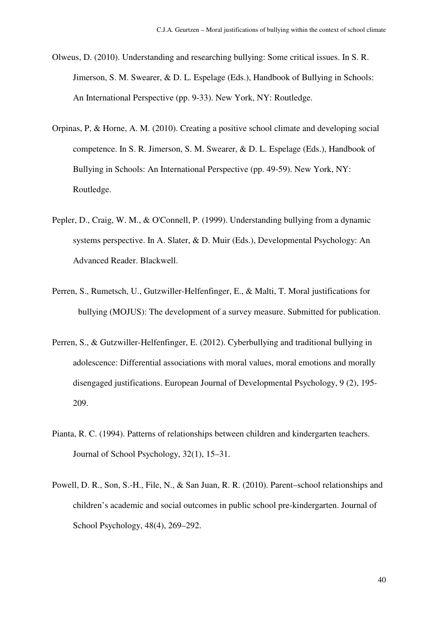- Olweus, D. (2010). Understanding and researching bullying: Some critical issues. In S. R. Jimerson, S. M. Swearer, & D. L. Espelage (Eds.), Handbook of Bullying in Schools: An International Perspective (pp. 9-33). New York, NY: Routledge.
- Orpinas, P, & Horne, A. M. (2010). Creating a positive school climate and developing social competence. In S. R. Jimerson, S. M. Swearer, & D. L. Espelage (Eds.), Handbook of Bullying in Schools: An International Perspective (pp. 49-59). New York, NY: Routledge.
- Pepler, D., Craig, W. M., & O'Connell, P. (1999). Understanding bullying from a dynamic systems perspective. In A. Slater, & D. Muir (Eds.), Developmental Psychology: An Advanced Reader. Blackwell.
- Perren, S., Rumetsch, U., Gutzwiller-Helfenfinger, E., & Malti, T. Moral justifications for bullying (MOJUS): The development of a survey measure. Submitted for publication.
- Perren, S., & Gutzwiller-Helfenfinger, E. (2012). Cyberbullying and traditional bullying in adolescence: Differential associations with moral values, moral emotions and morally disengaged justifications. European Journal of Developmental Psychology, 9 (2), 195- 209.
- Pianta, R. C. (1994). Patterns of relationships between children and kindergarten teachers. Journal of School Psychology, 32(1), 15–31.
- Powell, D. R., Son, S.-H., File, N., & San Juan, R. R. (2010). Parent–school relationships and children's academic and social outcomes in public school pre-kindergarten. Journal of School Psychology, 48(4), 269–292.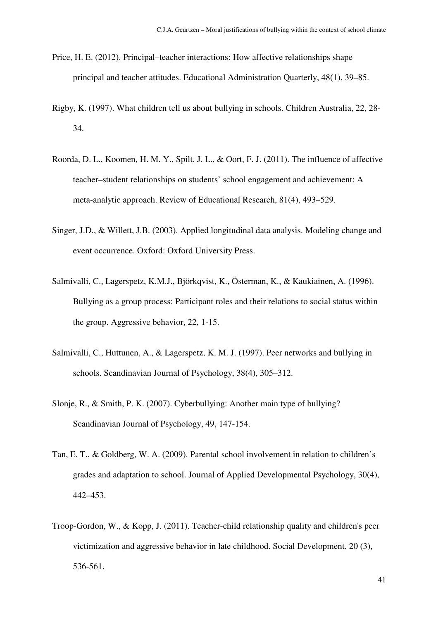- Price, H. E. (2012). Principal–teacher interactions: How affective relationships shape principal and teacher attitudes. Educational Administration Quarterly, 48(1), 39–85.
- Rigby, K. (1997). What children tell us about bullying in schools. Children Australia, 22, 28- 34.
- Roorda, D. L., Koomen, H. M. Y., Spilt, J. L., & Oort, F. J. (2011). The influence of affective teacher–student relationships on students' school engagement and achievement: A meta-analytic approach. Review of Educational Research, 81(4), 493–529.
- Singer, J.D., & Willett, J.B. (2003). Applied longitudinal data analysis. Modeling change and event occurrence. Oxford: Oxford University Press.
- Salmivalli, C., Lagerspetz, K.M.J., Björkqvist, K., Österman, K., & Kaukiainen, A. (1996). Bullying as a group process: Participant roles and their relations to social status within the group. Aggressive behavior, 22, 1-15.
- Salmivalli, C., Huttunen, A., & Lagerspetz, K. M. J. (1997). Peer networks and bullying in schools. Scandinavian Journal of Psychology, 38(4), 305–312.
- Slonje, R., & Smith, P. K. (2007). Cyberbullying: Another main type of bullying? Scandinavian Journal of Psychology, 49, 147-154.
- Tan, E. T., & Goldberg, W. A. (2009). Parental school involvement in relation to children's grades and adaptation to school. Journal of Applied Developmental Psychology, 30(4), 442–453.
- Troop-Gordon, W., & Kopp, J. (2011). Teacher-child relationship quality and children's peer victimization and aggressive behavior in late childhood. Social Development, 20 (3), 536-561.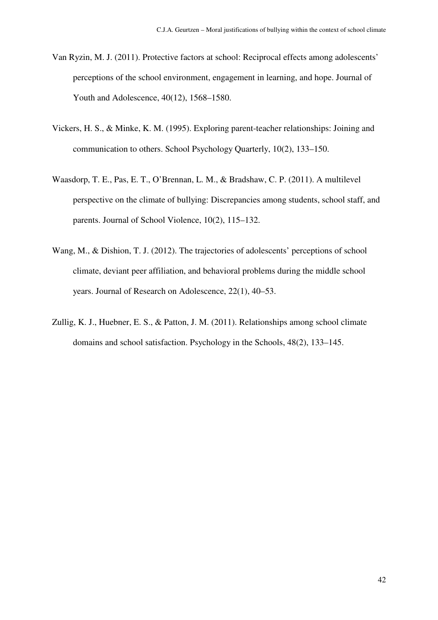- Van Ryzin, M. J. (2011). Protective factors at school: Reciprocal effects among adolescents' perceptions of the school environment, engagement in learning, and hope. Journal of Youth and Adolescence, 40(12), 1568–1580.
- Vickers, H. S., & Minke, K. M. (1995). Exploring parent-teacher relationships: Joining and communication to others. School Psychology Quarterly, 10(2), 133–150.
- Waasdorp, T. E., Pas, E. T., O'Brennan, L. M., & Bradshaw, C. P. (2011). A multilevel perspective on the climate of bullying: Discrepancies among students, school staff, and parents. Journal of School Violence, 10(2), 115–132.
- Wang, M., & Dishion, T. J. (2012). The trajectories of adolescents' perceptions of school climate, deviant peer affiliation, and behavioral problems during the middle school years. Journal of Research on Adolescence, 22(1), 40–53.
- Zullig, K. J., Huebner, E. S., & Patton, J. M. (2011). Relationships among school climate domains and school satisfaction. Psychology in the Schools, 48(2), 133–145.